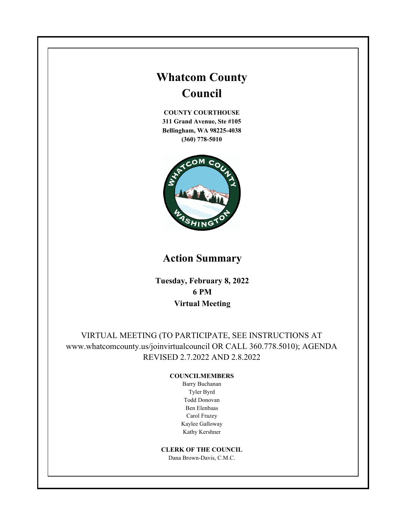# **Whatcom County Council**

**COUNTY COURTHOUSE 311 Grand Avenue, Ste #105 Bellingham, WA 98225-4038 (360) 778-5010**



# **Action Summary**

**Tuesday, February 8, 2022 6 PM Virtual Meeting**

VIRTUAL MEETING (TO PARTICIPATE, SEE INSTRUCTIONS AT www.whatcomcounty.us/joinvirtualcouncil OR CALL 360.778.5010); AGENDA REVISED 2.7.2022 AND 2.8.2022

#### **COUNCILMEMBERS**

Barry Buchanan Tyler Byrd Todd Donovan Ben Elenbaas Carol Frazey Kaylee Galloway Kathy Kershner

**CLERK OF THE COUNCIL**

Dana Brown-Davis, C.M.C.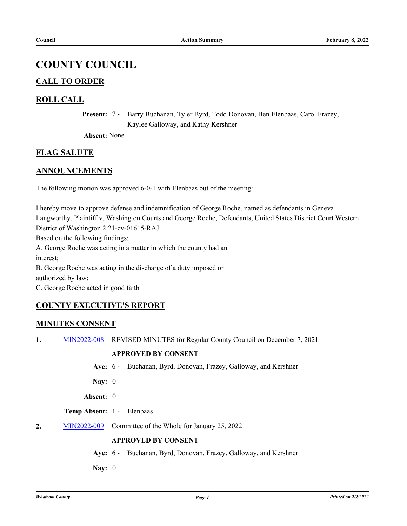## **COUNTY COUNCIL**

## **CALL TO ORDER**

## **ROLL CALL**

Present: 7 - Barry Buchanan, Tyler Byrd, Todd Donovan, Ben Elenbaas, Carol Frazey, Kaylee Galloway, and Kathy Kershner

**Absent:** None

## **FLAG SALUTE**

## **ANNOUNCEMENTS**

The following motion was approved 6-0-1 with Elenbaas out of the meeting:

I hereby move to approve defense and indemnification of George Roche, named as defendants in Geneva Langworthy, Plaintiff v. Washington Courts and George Roche, Defendants, United States District Court Western District of Washington 2:21-cv-01615-RAJ. Based on the following findings: A. George Roche was acting in a matter in which the county had an interest; B. George Roche was acting in the discharge of a duty imposed or authorized by law; C. George Roche acted in good faith

## **COUNTY EXECUTIVE'S REPORT**

## **MINUTES CONSENT**

**1.** [MIN2022-008](http://whatcom.legistar.com/gateway.aspx?m=l&id=/matter.aspx?key=15987) REVISED MINUTES for Regular County Council on December 7, 2021

#### **APPROVED BY CONSENT**

- **Aye:** 6 Buchanan, Byrd, Donovan, Frazey, Galloway, and Kershner
- **Nay:** 0
- **Absent:** 0

## **Temp Absent:** 1 - Elenbaas

**2.** [MIN2022-009](http://whatcom.legistar.com/gateway.aspx?m=l&id=/matter.aspx?key=16005) Committee of the Whole for January 25, 2022

## **APPROVED BY CONSENT**

- **Aye:** 6 Buchanan, Byrd, Donovan, Frazey, Galloway, and Kershner
- **Nay:** 0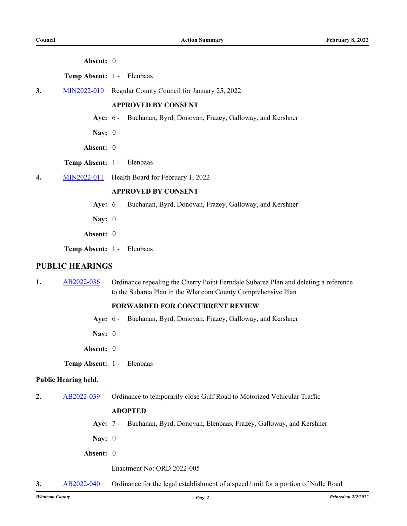| Absent: |  |
|---------|--|
|---------|--|

**Temp Absent:** 1 - Elenbaas

**3.** [MIN2022-010](http://whatcom.legistar.com/gateway.aspx?m=l&id=/matter.aspx?key=16011) Regular County Council for January 25, 2022

#### **APPROVED BY CONSENT**

- **Aye:** 6 Buchanan, Byrd, Donovan, Frazey, Galloway, and Kershner
- **Nay:** 0
- **Absent:** 0
- **Temp Absent:** 1 Elenbaas
- **4.** [MIN2022-011](http://whatcom.legistar.com/gateway.aspx?m=l&id=/matter.aspx?key=16016) Health Board for February 1, 2022

## **APPROVED BY CONSENT**

- **Aye:** 6 Buchanan, Byrd, Donovan, Frazey, Galloway, and Kershner
- **Nay:** 0
- **Absent:** 0
- **Temp Absent:** 1 Elenbaas

#### **PUBLIC HEARINGS**

**1.** [AB2022-036](http://whatcom.legistar.com/gateway.aspx?m=l&id=/matter.aspx?key=15947) Ordinance repealing the Cherry Point Ferndale Subarea Plan and deleting a reference to the Subarea Plan in the Whatcom County Comprehensive Plan

#### **FORWARDED FOR CONCURRENT REVIEW**

- **Aye:** 6 Buchanan, Byrd, Donovan, Frazey, Galloway, and Kershner
- **Nay:** 0
- **Absent:** 0
- **Temp Absent:** 1 Elenbaas

#### **Public Hearing held.**

**2.** [AB2022-039](http://whatcom.legistar.com/gateway.aspx?m=l&id=/matter.aspx?key=15950) Ordinance to temporarily close Gulf Road to Motorized Vehicular Traffic

#### **ADOPTED**

- **Aye:** 7 Buchanan, Byrd, Donovan, Elenbaas, Frazey, Galloway, and Kershner
- **Nay:** 0
- **Absent:** 0

Enactment No: ORD 2022-005

**3.** [AB2022-040](http://whatcom.legistar.com/gateway.aspx?m=l&id=/matter.aspx?key=15951) Ordinance for the legal establishment of a speed limit for a portion of Nulle Road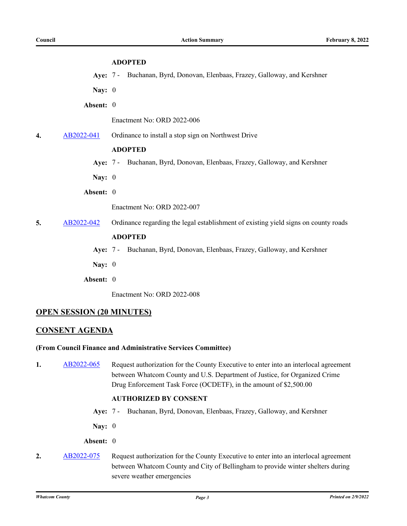## **ADOPTED**

- **Aye:** 7 Buchanan, Byrd, Donovan, Elenbaas, Frazey, Galloway, and Kershner
- **Nay:** 0
- **Absent:** 0

Enactment No: ORD 2022-006

**4.** [AB2022-041](http://whatcom.legistar.com/gateway.aspx?m=l&id=/matter.aspx?key=15952) Ordinance to install a stop sign on Northwest Drive

## **ADOPTED**

**Aye:** 7 - Buchanan, Byrd, Donovan, Elenbaas, Frazey, Galloway, and Kershner

**Nay:** 0

**Absent:** 0

Enactment No: ORD 2022-007

**5.** [AB2022-042](http://whatcom.legistar.com/gateway.aspx?m=l&id=/matter.aspx?key=15953) Ordinance regarding the legal establishment of existing yield signs on county roads

#### **ADOPTED**

- **Aye:** 7 Buchanan, Byrd, Donovan, Elenbaas, Frazey, Galloway, and Kershner
- **Nay:** 0
- **Absent:** 0

Enactment No: ORD 2022-008

## **OPEN SESSION (20 MINUTES)**

## **CONSENT AGENDA**

## **(From Council Finance and Administrative Services Committee)**

**1.** [AB2022-065](http://whatcom.legistar.com/gateway.aspx?m=l&id=/matter.aspx?key=15978) Request authorization for the County Executive to enter into an interlocal agreement between Whatcom County and U.S. Department of Justice, for Organized Crime Drug Enforcement Task Force (OCDETF), in the amount of \$2,500.00

## **AUTHORIZED BY CONSENT**

- **Aye:** 7 Buchanan, Byrd, Donovan, Elenbaas, Frazey, Galloway, and Kershner
- **Nay:** 0

**Absent:** 0

**2.** [AB2022-075](http://whatcom.legistar.com/gateway.aspx?m=l&id=/matter.aspx?key=15990) Request authorization for the County Executive to enter into an interlocal agreement between Whatcom County and City of Bellingham to provide winter shelters during severe weather emergencies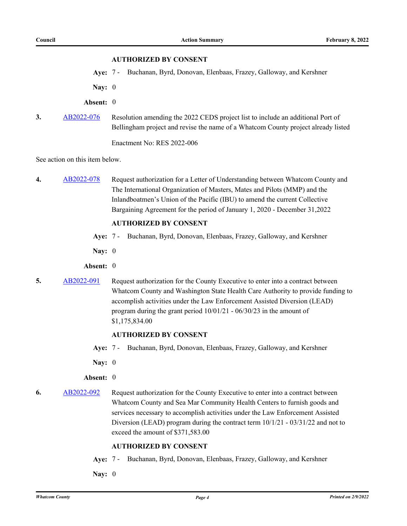#### **AUTHORIZED BY CONSENT**

**Aye:** 7 - Buchanan, Byrd, Donovan, Elenbaas, Frazey, Galloway, and Kershner

**Nay:** 0

**Absent:** 0

**3.** [AB2022-076](http://whatcom.legistar.com/gateway.aspx?m=l&id=/matter.aspx?key=15991) Resolution amending the 2022 CEDS project list to include an additional Port of Bellingham project and revise the name of a Whatcom County project already listed

Enactment No: RES 2022-006

See action on this item below.

**4.** [AB2022-078](http://whatcom.legistar.com/gateway.aspx?m=l&id=/matter.aspx?key=15993) Request authorization for a Letter of Understanding between Whatcom County and The International Organization of Masters, Mates and Pilots (MMP) and the Inlandboatmen's Union of the Pacific (IBU) to amend the current Collective Bargaining Agreement for the period of January 1, 2020 - December 31,2022

### **AUTHORIZED BY CONSENT**

- **Aye:** 7 Buchanan, Byrd, Donovan, Elenbaas, Frazey, Galloway, and Kershner
- **Nay:** 0
- **Absent:** 0
- **5.** [AB2022-091](http://whatcom.legistar.com/gateway.aspx?m=l&id=/matter.aspx?key=16007) Request authorization for the County Executive to enter into a contract between Whatcom County and Washington State Health Care Authority to provide funding to accomplish activities under the Law Enforcement Assisted Diversion (LEAD) program during the grant period 10/01/21 - 06/30/23 in the amount of \$1,175,834.00

#### **AUTHORIZED BY CONSENT**

**Aye:** 7 - Buchanan, Byrd, Donovan, Elenbaas, Frazey, Galloway, and Kershner

**Nay:** 0

#### **Absent:** 0

**6.** [AB2022-092](http://whatcom.legistar.com/gateway.aspx?m=l&id=/matter.aspx?key=16008) Request authorization for the County Executive to enter into a contract between Whatcom County and Sea Mar Community Health Centers to furnish goods and services necessary to accomplish activities under the Law Enforcement Assisted Diversion (LEAD) program during the contract term  $10/1/21 - 03/31/22$  and not to exceed the amount of \$371,583.00

## **AUTHORIZED BY CONSENT**

- **Aye:** 7 Buchanan, Byrd, Donovan, Elenbaas, Frazey, Galloway, and Kershner
- **Nay:** 0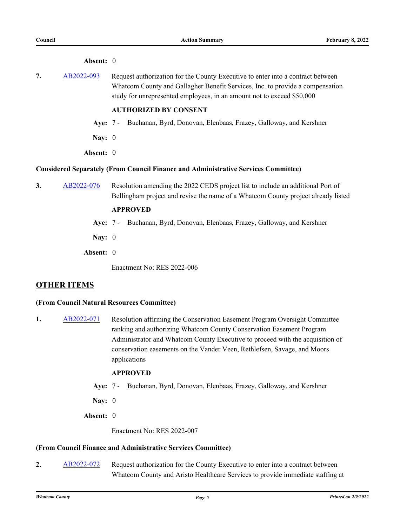#### **Absent:** 0

**7.** [AB2022-093](http://whatcom.legistar.com/gateway.aspx?m=l&id=/matter.aspx?key=16009) Request authorization for the County Executive to enter into a contract between Whatcom County and Gallagher Benefit Services, Inc. to provide a compensation study for unrepresented employees, in an amount not to exceed \$50,000

#### **AUTHORIZED BY CONSENT**

- **Aye:** 7 Buchanan, Byrd, Donovan, Elenbaas, Frazey, Galloway, and Kershner
- **Nay:** 0
- **Absent:** 0

#### **Considered Separately (From Council Finance and Administrative Services Committee)**

**3.** [AB2022-076](http://whatcom.legistar.com/gateway.aspx?m=l&id=/matter.aspx?key=15991) Resolution amending the 2022 CEDS project list to include an additional Port of Bellingham project and revise the name of a Whatcom County project already listed

#### **APPROVED**

- **Aye:** 7 Buchanan, Byrd, Donovan, Elenbaas, Frazey, Galloway, and Kershner
- **Nay:** 0
- **Absent:** 0

Enactment No: RES 2022-006

## **OTHER ITEMS**

#### **(From Council Natural Resources Committee)**

**1.** [AB2022-071](http://whatcom.legistar.com/gateway.aspx?m=l&id=/matter.aspx?key=15985) Resolution affirming the Conservation Easement Program Oversight Committee ranking and authorizing Whatcom County Conservation Easement Program Administrator and Whatcom County Executive to proceed with the acquisition of conservation easements on the Vander Veen, Rethlefsen, Savage, and Moors applications

## **APPROVED**

- **Aye:** 7 Buchanan, Byrd, Donovan, Elenbaas, Frazey, Galloway, and Kershner
- **Nay:** 0
- **Absent:** 0

Enactment No: RES 2022-007

#### **(From Council Finance and Administrative Services Committee)**

**2.** [AB2022-072](http://whatcom.legistar.com/gateway.aspx?m=l&id=/matter.aspx?key=15986) Request authorization for the County Executive to enter into a contract between Whatcom County and Aristo Healthcare Services to provide immediate staffing at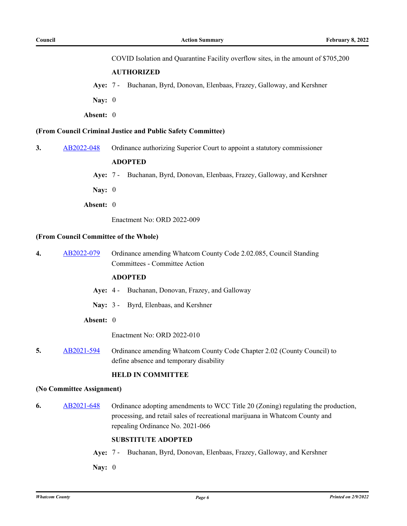COVID Isolation and Quarantine Facility overflow sites, in the amount of \$705,200

#### **AUTHORIZED**

**Aye:** 7 - Buchanan, Byrd, Donovan, Elenbaas, Frazey, Galloway, and Kershner

**Nay:** 0

**Absent:** 0

#### **(From Council Criminal Justice and Public Safety Committee)**

**3.** [AB2022-048](http://whatcom.legistar.com/gateway.aspx?m=l&id=/matter.aspx?key=15959) Ordinance authorizing Superior Court to appoint a statutory commissioner

#### **ADOPTED**

**Aye:** 7 - Buchanan, Byrd, Donovan, Elenbaas, Frazey, Galloway, and Kershner

**Nay:** 0

**Absent:** 0

Enactment No: ORD 2022-009

#### **(From Council Committee of the Whole)**

**4.** [AB2022-079](http://whatcom.legistar.com/gateway.aspx?m=l&id=/matter.aspx?key=15994) Ordinance amending Whatcom County Code 2.02.085, Council Standing Committees - Committee Action

## **ADOPTED**

- **Aye:** 4 Buchanan, Donovan, Frazey, and Galloway
- **Nay:** 3 Byrd, Elenbaas, and Kershner
- **Absent:** 0

Enactment No: ORD 2022-010

**5.** [AB2021-594](http://whatcom.legistar.com/gateway.aspx?m=l&id=/matter.aspx?key=15730) Ordinance amending Whatcom County Code Chapter 2.02 (County Council) to define absence and temporary disability

## **HELD IN COMMITTEE**

#### **(No Committee Assignment)**

**6.** [AB2021-648](http://whatcom.legistar.com/gateway.aspx?m=l&id=/matter.aspx?key=15789) Ordinance adopting amendments to WCC Title 20 (Zoning) regulating the production, processing, and retail sales of recreational marijuana in Whatcom County and repealing Ordinance No. 2021-066

#### **SUBSTITUTE ADOPTED**

**Aye:** 7 - Buchanan, Byrd, Donovan, Elenbaas, Frazey, Galloway, and Kershner

**Nay:** 0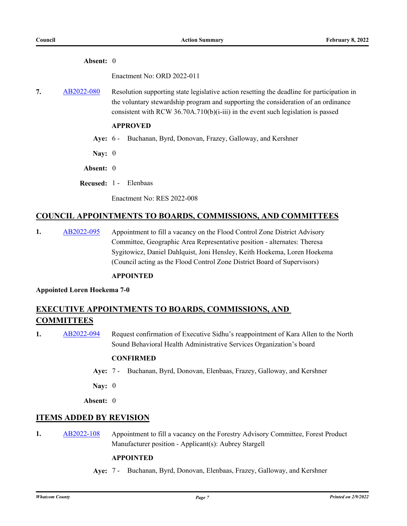#### **Absent:** 0

Enactment No: ORD 2022-011

**7.** [AB2022-080](http://whatcom.legistar.com/gateway.aspx?m=l&id=/matter.aspx?key=15995) Resolution supporting state legislative action resetting the deadline for participation in the voluntary stewardship program and supporting the consideration of an ordinance consistent with RCW 36.70A.710(b)(i-iii) in the event such legislation is passed

## **APPROVED**

- **Aye:** 6 Buchanan, Byrd, Donovan, Frazey, Galloway, and Kershner
- **Nay:** 0
- **Absent:** 0
- **Recused:** 1 Elenbaas

Enactment No: RES 2022-008

## **COUNCIL APPOINTMENTS TO BOARDS, COMMISSIONS, AND COMMITTEES**

**1.** [AB2022-095](http://whatcom.legistar.com/gateway.aspx?m=l&id=/matter.aspx?key=16012) Appointment to fill a vacancy on the Flood Control Zone District Advisory Committee, Geographic Area Representative position - alternates: Theresa Sygitowicz, Daniel Dahlquist, Joni Hensley, Keith Hoekema, Loren Hoekema (Council acting as the Flood Control Zone District Board of Supervisors)

## **APPOINTED**

**Appointed Loren Hoekema 7-0**

## **EXECUTIVE APPOINTMENTS TO BOARDS, COMMISSIONS, AND COMMITTEES**

1. [AB2022-094](http://whatcom.legistar.com/gateway.aspx?m=l&id=/matter.aspx?key=16010) Request confirmation of Executive Sidhu's reappointment of Kara Allen to the North Sound Behavioral Health Administrative Services Organization's board

## **CONFIRMED**

**Aye:** 7 - Buchanan, Byrd, Donovan, Elenbaas, Frazey, Galloway, and Kershner

**Nay:** 0

**Absent:** 0

## **ITEMS ADDED BY REVISION**

**1.** [AB2022-108](http://whatcom.legistar.com/gateway.aspx?m=l&id=/matter.aspx?key=16024) Appointment to fill a vacancy on the Forestry Advisory Committee, Forest Product Manufacturer position - Applicant(s): Aubrey Stargell

#### **APPOINTED**

**Aye:** 7 - Buchanan, Byrd, Donovan, Elenbaas, Frazey, Galloway, and Kershner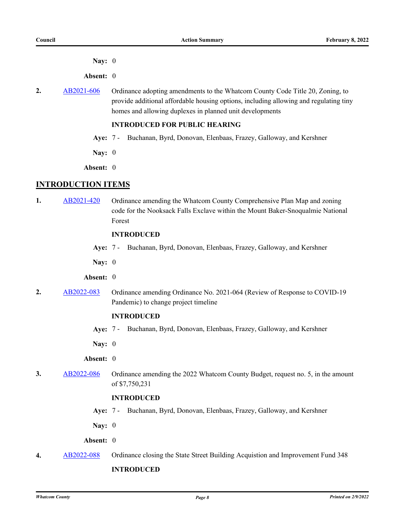**Nay:** 0

**Absent:** 0

2. [AB2021-606](http://whatcom.legistar.com/gateway.aspx?m=l&id=/matter.aspx?key=15743) Ordinance adopting amendments to the Whatcom County Code Title 20, Zoning, to provide additional affordable housing options, including allowing and regulating tiny homes and allowing duplexes in planned unit developments

## **INTRODUCED FOR PUBLIC HEARING**

- **Aye:** 7 Buchanan, Byrd, Donovan, Elenbaas, Frazey, Galloway, and Kershner
- **Nay:** 0
- **Absent:** 0

## **INTRODUCTION ITEMS**

**1.** [AB2021-420](http://whatcom.legistar.com/gateway.aspx?m=l&id=/matter.aspx?key=15537) Ordinance amending the Whatcom County Comprehensive Plan Map and zoning code for the Nooksack Falls Exclave within the Mount Baker-Snoqualmie National Forest

## **INTRODUCED**

- **Aye:** 7 Buchanan, Byrd, Donovan, Elenbaas, Frazey, Galloway, and Kershner
- **Nay:** 0

#### **Absent:** 0

**2.** [AB2022-083](http://whatcom.legistar.com/gateway.aspx?m=l&id=/matter.aspx?key=15998) Ordinance amending Ordinance No. 2021-064 (Review of Response to COVID-19 Pandemic) to change project timeline

### **INTRODUCED**

- **Aye:** 7 Buchanan, Byrd, Donovan, Elenbaas, Frazey, Galloway, and Kershner
- **Nay:** 0
- **Absent:** 0
- **3.** [AB2022-086](http://whatcom.legistar.com/gateway.aspx?m=l&id=/matter.aspx?key=16001) Ordinance amending the 2022 Whatcom County Budget, request no. 5, in the amount of \$7,750,231

#### **INTRODUCED**

- **Aye:** 7 Buchanan, Byrd, Donovan, Elenbaas, Frazey, Galloway, and Kershner
- **Nay:** 0

**Absent:** 0

**4.** [AB2022-088](http://whatcom.legistar.com/gateway.aspx?m=l&id=/matter.aspx?key=16003) Ordinance closing the State Street Building Acquistion and Improvement Fund 348 **INTRODUCED**